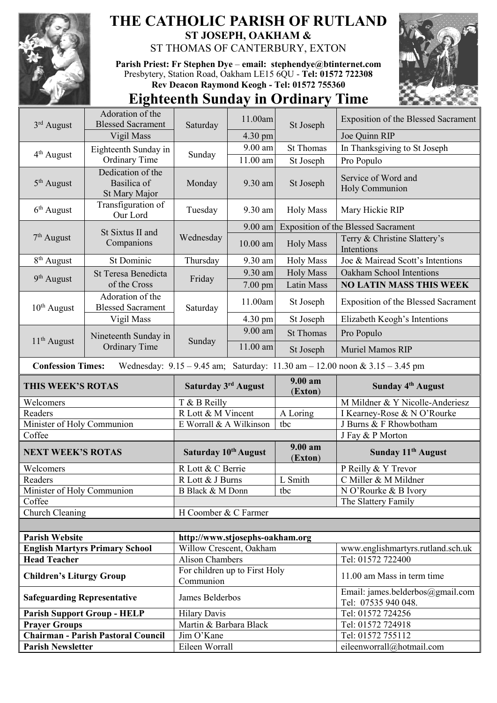

## **THE CATHOLIC PARISH OF RUTLAND ST JOSEPH, OAKHAM &**  ST THOMAS OF CANTERBURY, EXTON

**Parish Priest: Fr Stephen Dye** – **[email: stephendye@btinternet.com](mailto:email:%20%20stephendye@btinternet.com)** Presbytery, Station Road, Oakham LE15 6QU - **Tel: 01572 722308 Rev Deacon Raymond Keogh - Tel: 01572 755360**



## **Eighteenth Sunday in Ordinary Time**

|                                                                                                                 | Adoration of the                             |                                            | 11.00am           | St Joseph                                  | <b>Exposition of the Blessed Sacrament</b>              |  |  |
|-----------------------------------------------------------------------------------------------------------------|----------------------------------------------|--------------------------------------------|-------------------|--------------------------------------------|---------------------------------------------------------|--|--|
| 3rd August                                                                                                      | <b>Blessed Sacrament</b>                     | Saturday                                   |                   |                                            |                                                         |  |  |
|                                                                                                                 | Vigil Mass                                   |                                            | 4.30 pm           |                                            | Joe Quinn RIP                                           |  |  |
| $4th$ August                                                                                                    | Eighteenth Sunday in                         | Sunday                                     | 9.00 am           | <b>St Thomas</b>                           | In Thanksgiving to St Joseph                            |  |  |
|                                                                                                                 | Ordinary Time                                |                                            | 11.00 am          | St Joseph                                  | Pro Populo                                              |  |  |
| $5th$ August                                                                                                    | Dedication of the                            |                                            | 9.30 am           | St Joseph                                  | Service of Word and                                     |  |  |
|                                                                                                                 | Basilica of<br>St Mary Major                 | Monday                                     |                   |                                            | Holy Communion                                          |  |  |
|                                                                                                                 | Transfiguration of                           | Tuesday                                    |                   | <b>Holy Mass</b>                           | Mary Hickie RIP                                         |  |  |
| $6th$ August                                                                                                    | Our Lord                                     |                                            | 9.30 am           |                                            |                                                         |  |  |
| $7th$ August                                                                                                    | St Sixtus II and<br>Companions               | Wednesday                                  | 9.00 am           | <b>Exposition of the Blessed Sacrament</b> |                                                         |  |  |
|                                                                                                                 |                                              |                                            | $10.00$ am        | <b>Holy Mass</b>                           | Terry & Christine Slattery's<br>Intentions              |  |  |
| 8 <sup>th</sup> August                                                                                          | <b>St Dominic</b>                            | Thursday                                   | 9.30 am           | <b>Holy Mass</b>                           | Joe & Mairead Scott's Intentions                        |  |  |
|                                                                                                                 | St Teresa Benedicta<br>of the Cross          | Friday                                     | 9.30 am           | <b>Holy Mass</b>                           | Oakham School Intentions                                |  |  |
| 9 <sup>th</sup> August                                                                                          |                                              |                                            | $7.00 \text{ pm}$ | Latin Mass                                 | <b>NO LATIN MASS THIS WEEK</b>                          |  |  |
| $10th$ August                                                                                                   | Adoration of the<br><b>Blessed Sacrament</b> | Saturday                                   | 11.00am           | St Joseph                                  | <b>Exposition of the Blessed Sacrament</b>              |  |  |
|                                                                                                                 | Vigil Mass                                   |                                            | 4.30 pm           | St Joseph                                  | Elizabeth Keogh's Intentions                            |  |  |
|                                                                                                                 | Nineteenth Sunday in<br><b>Ordinary Time</b> | Sunday                                     | $9.00$ am         | <b>St Thomas</b>                           | Pro Populo                                              |  |  |
| $11th$ August                                                                                                   |                                              |                                            | 11.00 am          | St Joseph                                  | Muriel Mamos RIP                                        |  |  |
|                                                                                                                 |                                              |                                            |                   |                                            |                                                         |  |  |
| Wednesday: $9.15 - 9.45$ am; Saturday: $11.30$ am $- 12.00$ noon & $3.15 - 3.45$ pm<br><b>Confession Times:</b> |                                              |                                            |                   |                                            |                                                         |  |  |
|                                                                                                                 |                                              |                                            |                   |                                            |                                                         |  |  |
| <b>THIS WEEK'S ROTAS</b>                                                                                        |                                              | Saturday 3rd August                        |                   | 9.00 am<br>(Exton)                         | Sunday 4 <sup>th</sup> August                           |  |  |
| Welcomers                                                                                                       |                                              | T & B Reilly                               |                   |                                            | M Mildner & Y Nicolle-Anderiesz                         |  |  |
| Readers                                                                                                         |                                              | R Lott & M Vincent                         |                   | A Loring                                   | I Kearney-Rose & N O'Rourke                             |  |  |
| Minister of Holy Communion                                                                                      |                                              | E Worrall & A Wilkinson                    |                   | tbc                                        | J Burns & F Rhowbotham                                  |  |  |
| Coffee                                                                                                          |                                              |                                            |                   |                                            | J Fay & P Morton                                        |  |  |
| <b>NEXT WEEK'S ROTAS</b>                                                                                        |                                              | Saturday 10th August                       |                   | $9.00 a$ m<br>(Exton)                      | Sunday 11 <sup>th</sup> August                          |  |  |
| Welcomers                                                                                                       |                                              | R Lott & C Berrie                          |                   |                                            | P Reilly & Y Trevor                                     |  |  |
| Readers                                                                                                         |                                              | R Lott & J Burns                           |                   | L Smith                                    | C Miller & M Mildner                                    |  |  |
| Minister of Holy Communion                                                                                      |                                              | B Black & M Donn                           |                   | tbc                                        | N O'Rourke & B Ivory                                    |  |  |
| Coffee                                                                                                          |                                              |                                            |                   |                                            | The Slattery Family                                     |  |  |
| Church Cleaning                                                                                                 |                                              | H Coomber & C Farmer                       |                   |                                            |                                                         |  |  |
|                                                                                                                 |                                              |                                            |                   |                                            |                                                         |  |  |
| <b>Parish Website</b>                                                                                           |                                              | http://www.stjosephs-oakham.org            |                   |                                            |                                                         |  |  |
|                                                                                                                 | <b>English Martyrs Primary School</b>        | Willow Crescent, Oakham                    |                   |                                            | www.englishmartyrs.rutland.sch.uk                       |  |  |
| <b>Head Teacher</b>                                                                                             |                                              | <b>Alison Chambers</b>                     |                   |                                            | Tel: 01572 722400                                       |  |  |
| <b>Children's Liturgy Group</b>                                                                                 |                                              | For children up to First Holy<br>Communion |                   |                                            | 11.00 am Mass in term time                              |  |  |
| <b>Safeguarding Representative</b>                                                                              |                                              | James Belderbos                            |                   |                                            | Email: james.belderbos@gmail.com<br>Tel: 07535 940 048. |  |  |
|                                                                                                                 | <b>Parish Support Group - HELP</b>           | <b>Hilary Davis</b>                        |                   |                                            | Tel: 01572 724256                                       |  |  |
| <b>Prayer Groups</b>                                                                                            |                                              | Martin & Barbara Black                     |                   |                                            | Tel: 01572 724918                                       |  |  |
| <b>Parish Newsletter</b>                                                                                        | <b>Chairman - Parish Pastoral Council</b>    | Jim O'Kane<br>Eileen Worrall               |                   |                                            | Tel: 01572 755112<br>eileenworrall@hotmail.com          |  |  |